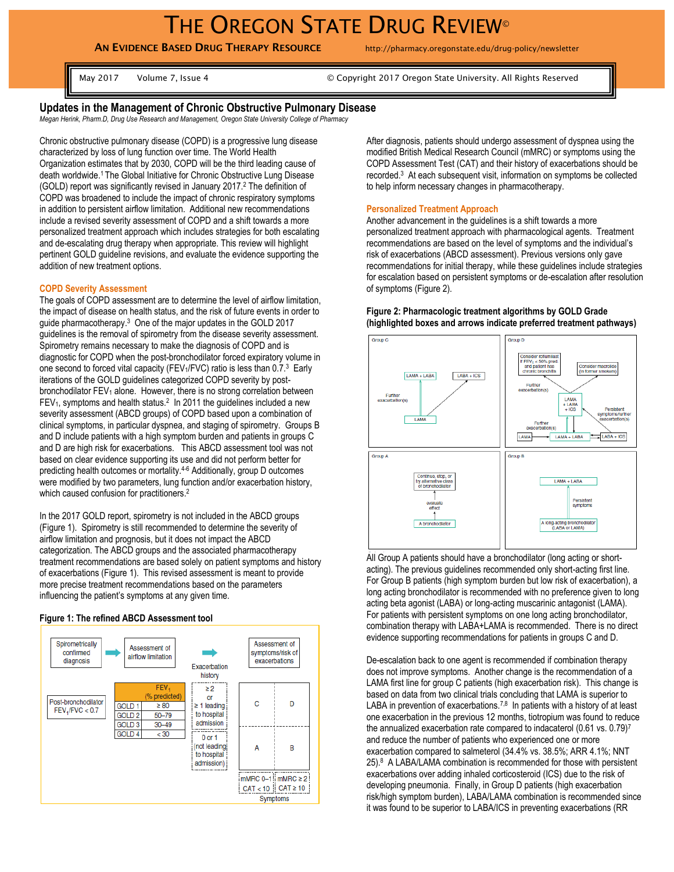**AN EVIDENCE BASED DRUG THERAPY RESOURCE** http://pharmacy.oregonstate.edu/drug-policy/newsletter

May 2017 Volume 7, Issue 4 © Copyright 2017 Oregon State University. All Rights Reserved

## **Updates in the Management of Chronic Obstructive Pulmonary Disease**

*Megan Herink, Pharm.D, Drug Use Research and Management, Oregon State University College of Pharmacy*

Chronic obstructive pulmonary disease (COPD) is a progressive lung disease characterized by loss of lung function over time. The World Health Organization estimates that by 2030, COPD will be the third leading cause of death worldwide.<sup>1</sup> The Global Initiative for Chronic Obstructive Lung Disease (GOLD) report was significantly revised in January 2017. <sup>2</sup> The definition of COPD was broadened to include the impact of chronic respiratory symptoms in addition to persistent airflow limitation. Additional new recommendations include a revised severity assessment of COPD and a shift towards a more personalized treatment approach which includes strategies for both escalating and de-escalating drug therapy when appropriate. This review will highlight pertinent GOLD guideline revisions, and evaluate the evidence supporting the addition of new treatment options.

## **COPD Severity Assessment**

The goals of COPD assessment are to determine the level of airflow limitation, the impact of disease on health status, and the risk of future events in order to guide pharmacotherapy. 3 One of the major updates in the GOLD 2017 guidelines is the removal of spirometry from the disease severity assessment. Spirometry remains necessary to make the diagnosis of COPD and is diagnostic for COPD when the post-bronchodilator forced expiratory volume in one second to forced vital capacity (FEV<sub>1</sub>/FVC) ratio is less than 0.7.<sup>3</sup> Early iterations of the GOLD guidelines categorized COPD severity by postbronchodilator FEV<sub>1</sub> alone. However, there is no strong correlation between FEV<sub>1</sub>, symptoms and health status.<sup>2</sup> In 2011 the guidelines included a new severity assessment (ABCD groups) of COPD based upon a combination of clinical symptoms, in particular dyspnea, and staging of spirometry. Groups B and D include patients with a high symptom burden and patients in groups C and D are high risk for exacerbations. This ABCD assessment tool was not based on clear evidence supporting its use and did not perform better for predicting health outcomes or mortality.4-6 Additionally, group D outcomes were modified by two parameters, lung function and/or exacerbation history, which caused confusion for practitioners.<sup>2</sup>

In the 2017 GOLD report, spirometry is not included in the ABCD groups (Figure 1). Spirometry is still recommended to determine the severity of airflow limitation and prognosis, but it does not impact the ABCD categorization. The ABCD groups and the associated pharmacotherapy treatment recommendations are based solely on patient symptoms and history of exacerbations (Figure 1). This revised assessment is meant to provide more precise treatment recommendations based on the parameters influencing the patient's symptoms at any given time.

## **Figure 1: The refined ABCD Assessment tool**



After diagnosis, patients should undergo assessment of dyspnea using the modified British Medical Research Council (mMRC) or symptoms using the COPD Assessment Test (CAT) and their history of exacerbations should be recorded.<sup>3</sup> At each subsequent visit, information on symptoms be collected to help inform necessary changes in pharmacotherapy.

#### **Personalized Treatment Approach**

Another advancement in the guidelines is a shift towards a more personalized treatment approach with pharmacological agents. Treatment recommendations are based on the level of symptoms and the individual's risk of exacerbations (ABCD assessment). Previous versions only gave recommendations for initial therapy, while these guidelines include strategies for escalation based on persistent symptoms or de-escalation after resolution of symptoms (Figure 2).



**Figure 2: Pharmacologic treatment algorithms by GOLD Grade (highlighted boxes and arrows indicate preferred treatment pathways)**

All Group A patients should have a bronchodilator (long acting or shortacting). The previous guidelines recommended only short-acting first line. For Group B patients (high symptom burden but low risk of exacerbation), a long acting bronchodilator is recommended with no preference given to long acting beta agonist (LABA) or long-acting muscarinic antagonist (LAMA). For patients with persistent symptoms on one long acting bronchodilator, combination therapy with LABA+LAMA is recommended. There is no direct evidence supporting recommendations for patients in groups C and D.

De-escalation back to one agent is recommended if combination therapy does not improve symptoms. Another change is the recommendation of a LAMA first line for group C patients (high exacerbation risk). This change is based on data from two clinical trials concluding that LAMA is superior to LABA in prevention of exacerbations.<sup>7,8</sup> In patients with a history of at least one exacerbation in the previous 12 months, tiotropium was found to reduce the annualized exacerbation rate compared to indacaterol (0.61 vs. 0.79)<sup>7</sup> and reduce the number of patients who experienced one or more exacerbation compared to salmeterol (34.4% vs. 38.5%; ARR 4.1%; NNT 25).<sup>8</sup> A LABA/LAMA combination is recommended for those with persistent exacerbations over adding inhaled corticosteroid (ICS) due to the risk of developing pneumonia. Finally, in Group D patients (high exacerbation risk/high symptom burden), LABA/LAMA combination is recommended since it was found to be superior to LABA/ICS in preventing exacerbations (RR